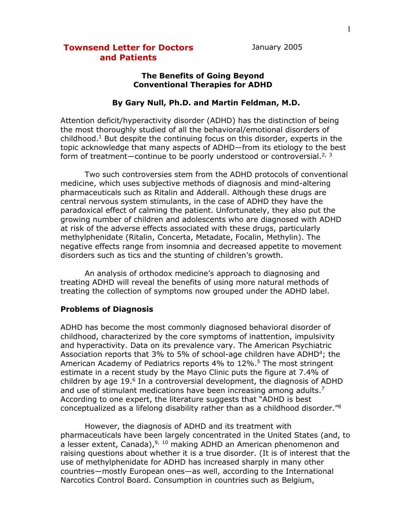January 2005

# **Townsend Letter for Doctors and Patients**

#### **The Benefits of Going Beyond Conventional Therapies for ADHD**

#### **By Gary Null, Ph.D. and Martin Feldman, M.D.**

Attention deficit/hyperactivity disorder (ADHD) has the distinction of being the most thoroughly studied of all the behavioral/emotional disorders of childhood.<sup>1</sup> But despite the continuing focus on this disorder, experts in the topic acknowledge that many aspects of ADHD—from its etiology to the best form of treatment—continue to be poorly understood or controversial. $2, 3$ 

Two such controversies stem from the ADHD protocols of conventional medicine, which uses subjective methods of diagnosis and mind-altering pharmaceuticals such as Ritalin and Adderall. Although these drugs are central nervous system stimulants, in the case of ADHD they have the paradoxical effect of calming the patient. Unfortunately, they also put the growing number of children and adolescents who are diagnosed with ADHD at risk of the adverse effects associated with these drugs, particularly methylphenidate (Ritalin, Concerta, Metadate, Focalin, Methylin). The negative effects range from insomnia and decreased appetite to movement disorders such as tics and the stunting of children's growth.

An analysis of orthodox medicine's approach to diagnosing and treating ADHD will reveal the benefits of using more natural methods of treating the collection of symptoms now grouped under the ADHD label.

#### **Problems of Diagnosis**

ADHD has become the most commonly diagnosed behavioral disorder of childhood, characterized by the core symptoms of inattention, impulsivity and hyperactivity. Data on its prevalence vary. The American Psychiatric Association reports that  $3\%$  to  $5\%$  of school-age children have ADHD<sup>4</sup>; the American Academy of Pediatrics reports 4% to 12%.<sup>5</sup> The most stringent estimate in a recent study by the Mayo Clinic puts the figure at 7.4% of children by age  $19<sup>6</sup>$  In a controversial development, the diagnosis of ADHD and use of stimulant medications have been increasing among adults.<sup>7</sup> According to one expert, the literature suggests that"ADHD is best conceptualized as a lifelong disability rather than as a childhood disorder."<sup>8</sup> 8

However, the diagnosis of ADHD and its treatment with pharmaceuticals have been largely concentrated in the United States (and, to a lesser extent, Canada), $9/10$  making ADHD an American phenomenon and raising questions about whether it is a true disorder. (It is of interest that the use of methylphenidate for ADHD has increased sharply in many other countries—mostly European ones—as well, according to the International Narcotics Control Board. Consumption in countries such as Belgium,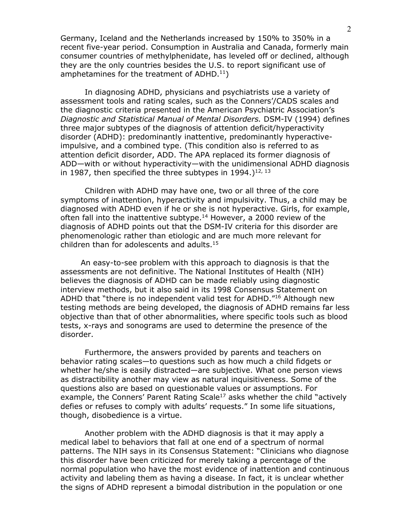Germany, Iceland and the Netherlands increased by 150% to 350% in a recent five-year period. Consumption in Australia and Canada, formerly main consumer countries of methylphenidate, has leveled off or declined, although they are the only countries besides the U.S. to report significant use of amphetamines for the treatment of ADHD. $^{11}$ )

In diagnosing ADHD, physicians and psychiatrists use a variety of assessment tools and rating scales, such as the Conners'/CADS scales and the diagnostic criteria presented in the American Psychiatric Association's *Diagnostic and Statistical Manual of Mental Disorders.* DSM-IV (1994) defines three major subtypes of the diagnosis of attention deficit/hyperactivity disorder (ADHD): predominantly inattentive, predominantly hyperactiveimpulsive, and a combined type. (This condition also is referred to as attention deficit disorder, ADD. The APA replaced its former diagnosis of ADD—with or without hyperactivity—with the unidimensional ADHD diagnosis in 1987, then specified the three subtypes in 1994.) 12, 13

Children with ADHD may have one, two or all three of the core symptoms of inattention, hyperactivity and impulsivity. Thus, a child may be diagnosed with ADHD even if he or she is not hyperactive. Girls, for example, often fall into the inattentive subtype.<sup>14</sup> However, a 2000 review of the diagnosis of ADHD points out that the DSM-IV criteria for this disorder are phenomenologic rather than etiologic and are much more relevant for children than for adolescents and adults.<sup>15</sup>

An easy-to-see problem with this approach to diagnosis is that the assessments are not definitive. The National Institutes of Health (NIH) believes the diagnosis of ADHD can be made reliably using diagnostic interview methods, but it also said in its 1998 Consensus Statement on ADHD that "there is no independent valid test for ADHD." <sup>16</sup> Although new testing methods are being developed, the diagnosis of ADHD remains far less objective than that of other abnormalities, where specific tools such as blood tests, x-rays and sonograms are used to determine the presence of the disorder.

Furthermore, the answers provided by parents and teachers on behavior rating scales—to questions such as how much a child fidgets or whether he/she is easily distracted—are subjective. What one person views as distractibility another may view as natural inquisitiveness. Some of the questions also are based on questionable values or assumptions. For example, the Conners' Parent Rating Scale<sup>17</sup> asks whether the child "actively defies or refuses to comply with adults'requests." In some life situations, though, disobedience is a virtue.

Another problem with the ADHD diagnosis is that it may apply a medical label to behaviors that fall at one end of a spectrum of normal patterns. The NIH says in its Consensus Statement: "Clinicians who diagnose this disorder have been criticized for merely taking a percentage of the normal population who have the most evidence of inattention and continuous activity and labeling them as having a disease. In fact, it is unclear whether the signs of ADHD represent a bimodal distribution in the population or one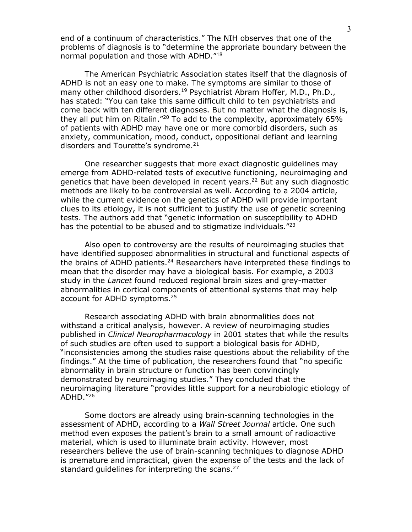end of a continuum of characteristics." The NIH observes that one of the problems of diagnosis is to "determine the approriate boundary between the normal population and those with ADHD." 18

The American Psychiatric Association states itself that the diagnosis of ADHD is not an easy one to make. The symptoms are similar to those of many other childhood disorders.<sup>19</sup> Psychiatrist Abram Hoffer, M.D., Ph.D., has stated: "You can take this same difficult child to ten psychiatrists and come back with ten different diagnoses. But no matter what the diagnosis is, they all put him on Ritalin."<sup>20</sup> To add to the complexity, approximately 65% of patients with ADHD may have one or more comorbid disorders, such as anxiety, communication, mood, conduct, oppositional defiant and learning disorders and Tourette's syndrome.<sup>21</sup>

One researcher suggests that more exact diagnostic guidelines may emerge from ADHD-related tests of executive functioning, neuroimaging and genetics that have been developed in recent years.<sup>22</sup> But any such diagnostic methods are likely to be controversial as well. According to a 2004 article, while the current evidence on the genetics of ADHD will provide important clues to its etiology, it is not sufficient to justify the use of genetic screening tests. The authors add that "genetic information on susceptibility to ADHD has the potential to be abused and to stigmatize individuals."<sup>23</sup>

Also open to controversy are the results of neuroimaging studies that have identified supposed abnormalities in structural and functional aspects of the brains of ADHD patients. $24$  Researchers have interpreted these findings to mean that the disorder may have a biological basis. For example, a 2003 study in the *Lancet* found reduced regional brain sizes and grey-matter abnormalities in cortical components of attentional systems thatmay help account for ADHD symptoms.<sup>25</sup>

Research associating ADHD with brain abnormalities does not withstand a critical analysis, however. A review of neuroimaging studies published in *Clinical Neuropharmacology* in 2001 states thatwhile the results of such studies are often used to support a biological basis for ADHD, "inconsistencies among the studies raise questions about the reliability of the findings." At the time of publication, the researchers found that "no specific abnormality in brain structure or function has been convincingly demonstrated by neuroimaging studies." They concluded that the neuroimaging literature "provides little support for a neurobiologic etiology of ADHD." 26

Some doctors are already using brain-scanning technologies in the assessment of ADHD, according to a *Wall Street Journal* article. One such method even exposes the patient's brain to a small amount of radioactive material, which is used to illuminate brain activity. However, most researchers believe the use of brain-scanning techniques to diagnose ADHD is premature and impractical, given the expense of the tests and the lack of standard quidelines for interpreting the scans. $27$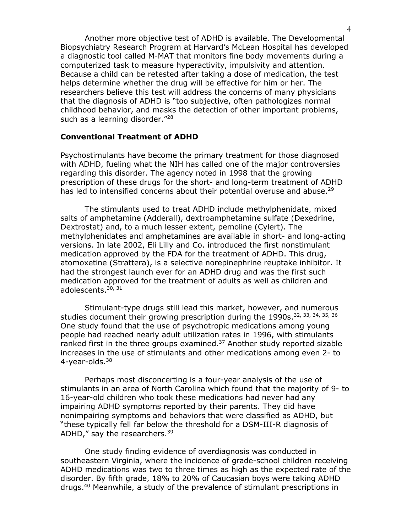Another more objective test of ADHD is available. The Developmental Biopsychiatry Research Program at Harvard's McLean Hospital has developed a diagnostic tool called M-MAT that monitors fine body movements during a computerized task to measure hyperactivity, impulsivity and attention. Because a child can be retested after taking a dose of medication, the test helps determine whether the drug will be effective for him or her. The researchers believe this test will address the concerns of many physicians that the diagnosis of ADHD is "too subjective, often pathologizes normal childhood behavior, and masks the detection of other important problems, such as a learning disorder." 28

## **Conventional Treatment of ADHD**

Psychostimulants have become the primary treatment for those diagnosed with ADHD, fueling what the NIH has called one of the major controversies regarding this disorder. The agency noted in 1998 that the growing prescription of these drugs for the short- and long-term treatment of ADHD has led to intensified concerns about their potential overuse and abuse.<sup>29</sup>

The stimulants used to treat ADHD include methylphenidate, mixed salts of amphetamine (Adderall), dextroamphetamine sulfate (Dexedrine, Dextrostat) and, to a much lesser extent, pemoline (Cylert). The methylphenidates and amphetamines are available in short-and long-acting versions. In late 2002, Eli Lilly and Co. introduced the first nonstimulant medication approved by the FDA for the treatment of ADHD. This drug, atomoxetine (Strattera), is a selective norepinephrine reuptake inhibitor. It had the strongest launch ever for an ADHD drug and was the first such medication approved for the treatment of adults as well as children and adolescents.<sup>30, 31</sup>

Stimulant-type drugs still lead this market, however, and numerous studies document their growing prescription during the 1990s.<sup>32, 33, 34, 35, 36</sup> One study found that the use of psychotropic medications among young people had reached nearly adult utilization rates in 1996, with stimulants ranked first in the three groups examined.<sup>37</sup> Another study reported sizable increases in the use of stimulants and other medications among even 2- to 4-year-olds.<sup>38</sup>

Perhaps most disconcerting is a four-year analysis of the use of stimulants in an area of North Carolina which found that the majority of 9- to 16-year-old children who took these medications had never had any impairing ADHD symptoms reported by their parents. They did have nonimpairing symptoms and behaviors that were classified as ADHD, but "these typically fell far below the threshold for a DSM-III-R diagnosis of ADHD," say the researchers.  $39$ 

One study finding evidence of overdiagnosis was conducted in southeastern Virginia, where the incidence of grade-school children receiving ADHD medications was two to three times as high as the expected rate of the disorder. By fifth grade, 18% to 20% of Caucasian boys were taking ADHD drugs.<sup>40</sup> Meanwhile, a study of the prevalence of stimulant prescriptions in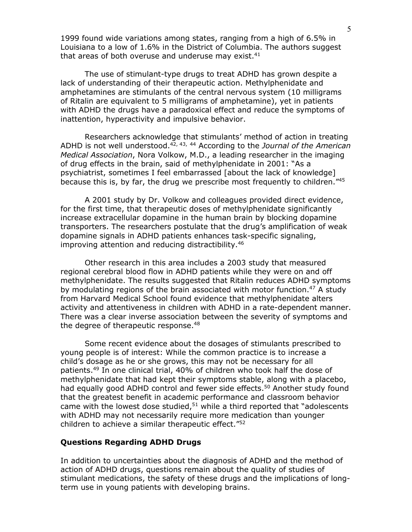1999 found wide variations among states, ranging from a high of 6.5% in Louisiana to a low of 1.6% in the District of Columbia. The authors suggest that areas of both overuse and underuse may exist. $41$ 

The use of stimulant-type drugs to treat ADHD has grown despite a lack of understanding of their therapeutic action. Methylphenidate and amphetamines are stimulants of the central nervous system (10 milligrams of Ritalin are equivalent to 5 milligrams of amphetamine), yet in patients with ADHD the drugs have a paradoxical effect and reduce the symptoms of inattention, hyperactivity and impulsive behavior.

Researchers acknowledge that stimulants' method of action in treating ADHD is not wellunderstood.42, 43, <sup>44</sup> According to the *Journal of the American Medical Association*, Nora Volkow, M.D., a leading researcher in the imaging of drug effects in the brain, said of methylphenidate in 2001: "As a psychiatrist, sometimes I feel embarrassed [about the lack of knowledge] because this is, by far, the drug we prescribe most frequently to children." 45

A 2001 study by Dr. Volkow and colleagues provided direct evidence, for the first time, that therapeutic doses of methylphenidate significantly increase extracellular dopamine in the human brain by blocking dopamine transporters. The researchers postulate that the drug's amplification of weak dopamine signals in ADHD patients enhances task-specific signaling, improving attention and reducing distractibility.<sup>46</sup>

Other research in this area includes a 2003 study that measured regional cerebral blood flow in ADHD patients while they were on and off methylphenidate. The results suggested that Ritalin reduces ADHD symptoms by modulating regions of the brain associated with motor function.<sup>47</sup> A study from Harvard Medical School found evidence that methylphenidate alters activity and attentiveness in children with ADHD in a rate-dependent manner. There was a clear inverse association between the severity of symptoms and the degree of therapeutic response.<sup>48</sup>

Some recent evidence about the dosages of stimulants prescribed to young people is of interest: While the common practice is to increase a child's dosage as he or she grows, this may not be necessary for all patients.<sup>49</sup> In one clinical trial, 40% of children who took half the dose of methylphenidate that had kept their symptoms stable, along with a placebo, had equally good ADHD control and fewer side effects.<sup>50</sup> Another study found that the greatest benefit in academic performance and classroom behavior came with the lowest dose studied, $51$  while a third reported that "adolescents with ADHD may not necessarily require more medication than younger children to achieve a similar therapeutic effect." 52

### **Questions Regarding ADHD Drugs**

In addition to uncertainties about the diagnosis of ADHD and the method of action of ADHD drugs, questions remain about the quality of studies of stimulant medications, the safety of these drugs and the implications of longterm use in young patients with developing brains.